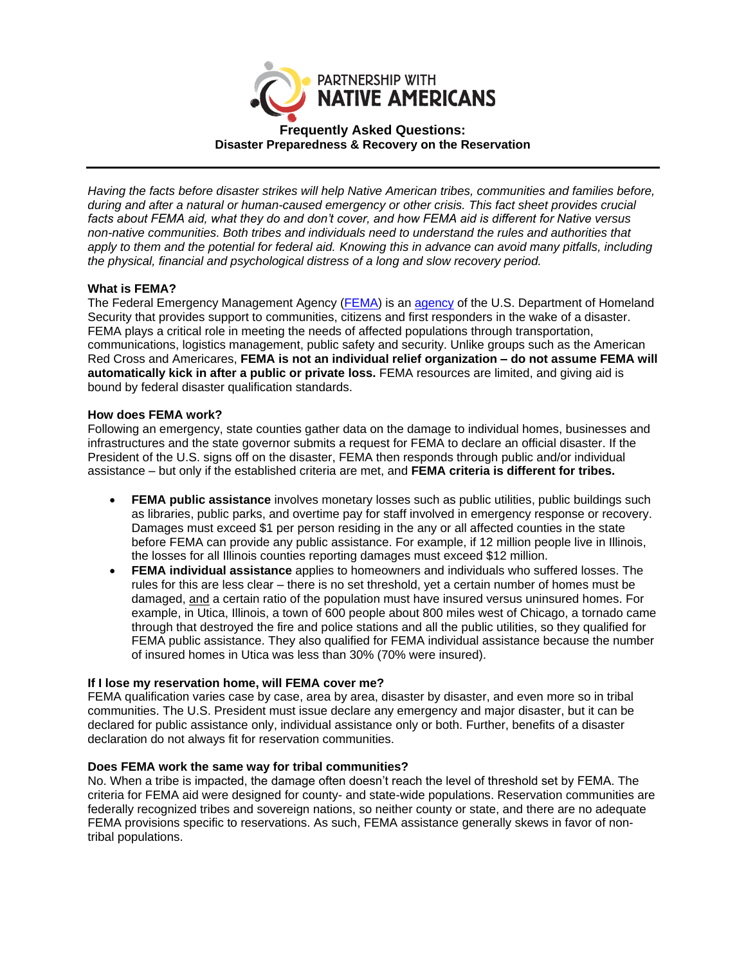

# **Frequently Asked Questions: Disaster Preparedness & Recovery on the Reservation**

*Having the facts before disaster strikes will help Native American tribes, communities and families before, during and after a natural or human-caused emergency or other crisis. This fact sheet provides crucial facts about FEMA aid, what they do and don't cover, and how FEMA aid is different for Native versus non-native communities. Both tribes and individuals need to understand the rules and authorities that apply to them and the potential for federal aid. Knowing this in advance can avoid many pitfalls, including the physical, financial and psychological distress of a long and slow recovery period.* 

## **What is FEMA?**

The Federal Emergency Management Agency [\(FEMA\)](https://www.fema.gov/) is an [agency](https://www.fema.gov/about-agency) of the U.S. Department of Homeland Security that provides support to communities, citizens and first responders in the wake of a disaster. FEMA plays a critical role in meeting the needs of affected populations through transportation, communications, logistics management, public safety and security. Unlike groups such as the American Red Cross and Americares, **FEMA is not an individual relief organization – do not assume FEMA will automatically kick in after a public or private loss.** FEMA resources are limited, and giving aid is bound by federal disaster qualification standards.

## **How does FEMA work?**

Following an emergency, state counties gather data on the damage to individual homes, businesses and infrastructures and the state governor submits a request for FEMA to declare an official disaster. If the President of the U.S. signs off on the disaster, FEMA then responds through public and/or individual assistance – but only if the established criteria are met, and **FEMA criteria is different for tribes.**

- **FEMA public assistance** involves monetary losses such as public utilities, public buildings such as libraries, public parks, and overtime pay for staff involved in emergency response or recovery. Damages must exceed \$1 per person residing in the any or all affected counties in the state before FEMA can provide any public assistance. For example, if 12 million people live in Illinois, the losses for all Illinois counties reporting damages must exceed \$12 million.
- **FEMA individual assistance** applies to homeowners and individuals who suffered losses. The rules for this are less clear – there is no set threshold, yet a certain number of homes must be damaged, and a certain ratio of the population must have insured versus uninsured homes. For example, in Utica, Illinois, a town of 600 people about 800 miles west of Chicago, a tornado came through that destroyed the fire and police stations and all the public utilities, so they qualified for FEMA public assistance. They also qualified for FEMA individual assistance because the number of insured homes in Utica was less than 30% (70% were insured).

## **If I lose my reservation home, will FEMA cover me?**

FEMA qualification varies case by case, area by area, disaster by disaster, and even more so in tribal communities. The U.S. President must issue declare any emergency and major disaster, but it can be declared for public assistance only, individual assistance only or both. Further, benefits of a disaster declaration do not always fit for reservation communities.

## **Does FEMA work the same way for tribal communities?**

No. When a tribe is impacted, the damage often doesn't reach the level of threshold set by FEMA. The criteria for FEMA aid were designed for county- and state-wide populations. Reservation communities are federally recognized tribes and sovereign nations, so neither county or state, and there are no adequate FEMA provisions specific to reservations. As such, FEMA assistance generally skews in favor of nontribal populations.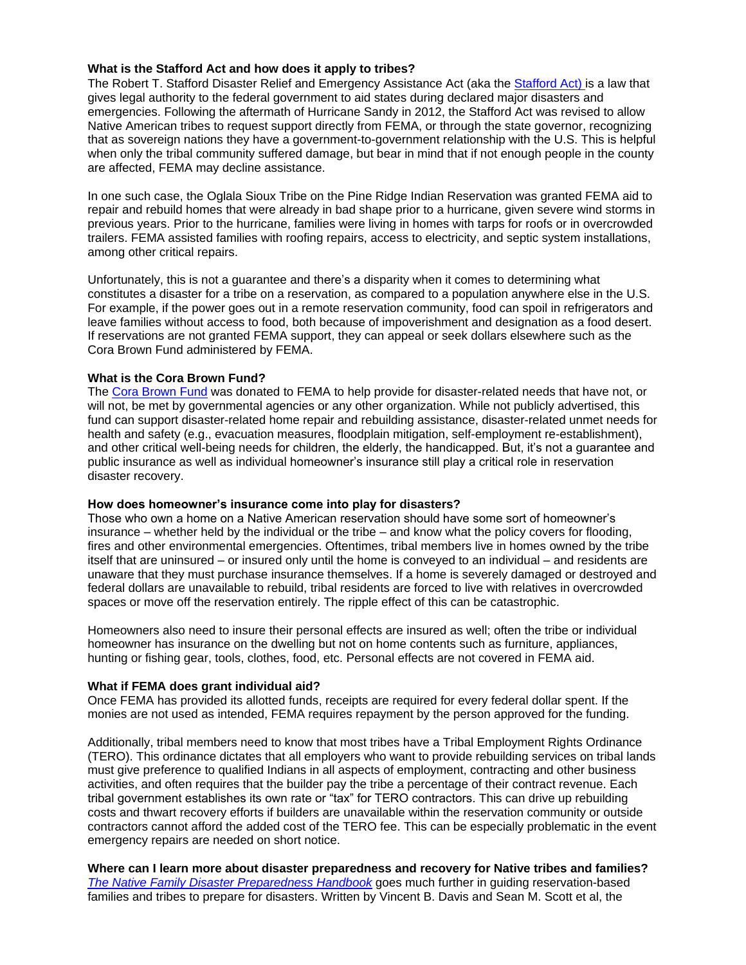## **What is the Stafford Act and how does it apply to tribes?**

The Robert T. Stafford Disaster Relief and Emergency Assistance Act (aka the [Stafford Act\)](https://www.fema.gov/robert-t-stafford-disaster-relief-and-emergency-assistance-act-public-law-93-288-amended) is a law that gives legal authority to the federal government to aid states during declared major disasters and emergencies. Following the aftermath of Hurricane Sandy in 2012, the Stafford Act was revised to allow Native American tribes to request support directly from FEMA, or through the state governor, recognizing that as sovereign nations they have a government-to-government relationship with the U.S. This is helpful when only the tribal community suffered damage, but bear in mind that if not enough people in the county are affected, FEMA may decline assistance.

In one such case, the Oglala Sioux Tribe on the Pine Ridge Indian Reservation was granted FEMA aid to repair and rebuild homes that were already in bad shape prior to a hurricane, given severe wind storms in previous years. Prior to the hurricane, families were living in homes with tarps for roofs or in overcrowded trailers. FEMA assisted families with roofing repairs, access to electricity, and septic system installations, among other critical repairs.

Unfortunately, this is not a guarantee and there's a disparity when it comes to determining what constitutes a disaster for a tribe on a reservation, as compared to a population anywhere else in the U.S. For example, if the power goes out in a remote reservation community, food can spoil in refrigerators and leave families without access to food, both because of impoverishment and designation as a food desert. If reservations are not granted FEMA support, they can appeal or seek dollars elsewhere such as the Cora Brown Fund administered by FEMA.

#### **What is the Cora Brown Fund?**

The [Cora Brown Fund](https://www.fema.gov/media-library-data/1434639028239-341e17807cb06b0bf000d21cc7552b2c/CoraBrown-FactSheet-final508.pdf) was donated to FEMA to help provide for disaster-related needs that have not, or will not, be met by governmental agencies or any other organization. While not publicly advertised, this fund can support disaster-related home repair and rebuilding assistance, disaster-related unmet needs for health and safety (e.g., evacuation measures, floodplain mitigation, self-employment re-establishment), and other critical well-being needs for children, the elderly, the handicapped. But, it's not a guarantee and public insurance as well as individual homeowner's insurance still play a critical role in reservation disaster recovery.

#### **How does homeowner's insurance come into play for disasters?**

Those who own a home on a Native American reservation should have some sort of homeowner's insurance – whether held by the individual or the tribe – and know what the policy covers for flooding, fires and other environmental emergencies. Oftentimes, tribal members live in homes owned by the tribe itself that are uninsured – or insured only until the home is conveyed to an individual – and residents are unaware that they must purchase insurance themselves. If a home is severely damaged or destroyed and federal dollars are unavailable to rebuild, tribal residents are forced to live with relatives in overcrowded spaces or move off the reservation entirely. The ripple effect of this can be catastrophic.

Homeowners also need to insure their personal effects are insured as well; often the tribe or individual homeowner has insurance on the dwelling but not on home contents such as furniture, appliances, hunting or fishing gear, tools, clothes, food, etc. Personal effects are not covered in FEMA aid.

#### **What if FEMA does grant individual aid?**

Once FEMA has provided its allotted funds, receipts are required for every federal dollar spent. If the monies are not used as intended, FEMA requires repayment by the person approved for the funding.

Additionally, tribal members need to know that most tribes have a Tribal Employment Rights Ordinance (TERO). This ordinance dictates that all employers who want to provide rebuilding services on tribal lands must give preference to qualified Indians in all aspects of employment, contracting and other business activities, and often requires that the builder pay the tribe a percentage of their contract revenue. Each tribal government establishes its own rate or "tax" for TERO contractors. This can drive up rebuilding costs and thwart recovery efforts if builders are unavailable within the reservation community or outside contractors cannot afford the added cost of the TERO fee. This can be especially problematic in the event emergency repairs are needed on short notice.

**Where can I learn more about disaster preparedness and recovery for Native tribes and families?** *[The Native Family Disaster Preparedness Handbook](https://www.thenativefamilydisasterhandbook.com/)* goes much further in guiding reservation-based families and tribes to prepare for disasters. Written by Vincent B. Davis and Sean M. Scott et al, the